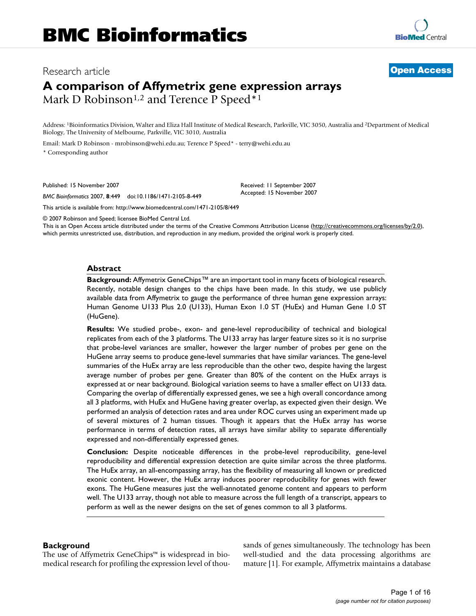## Research article **[Open Access](http://www.biomedcentral.com/info/about/charter/)**

# **A comparison of Affymetrix gene expression arrays** Mark D Robinson<sup>1,2</sup> and Terence P Speed<sup>\*1</sup>

Address: 1Bioinformatics Division, Walter and Eliza Hall Institute of Medical Research, Parkville, VIC 3050, Australia and 2Department of Medical Biology, The University of Melbourne, Parkville, VIC 3010, Australia

Email: Mark D Robinson - mrobinson@wehi.edu.au; Terence P Speed\* - terry@wehi.edu.au

\* Corresponding author

Published: 15 November 2007

*BMC Bioinformatics* 2007, **8**:449 doi:10.1186/1471-2105-8-449

[This article is available from: http://www.biomedcentral.com/1471-2105/8/449](http://www.biomedcentral.com/1471-2105/8/449)

© 2007 Robinson and Speed; licensee BioMed Central Ltd.

This is an Open Access article distributed under the terms of the Creative Commons Attribution License [\(http://creativecommons.org/licenses/by/2.0\)](http://creativecommons.org/licenses/by/2.0), which permits unrestricted use, distribution, and reproduction in any medium, provided the original work is properly cited.

#### **Abstract**

**Background:** Affymetrix GeneChips™ are an important tool in many facets of biological research. Recently, notable design changes to the chips have been made. In this study, we use publicly available data from Affymetrix to gauge the performance of three human gene expression arrays: Human Genome U133 Plus 2.0 (U133), Human Exon 1.0 ST (HuEx) and Human Gene 1.0 ST (HuGene).

**Results:** We studied probe-, exon- and gene-level reproducibility of technical and biological replicates from each of the 3 platforms. The U133 array has larger feature sizes so it is no surprise that probe-level variances are smaller, however the larger number of probes per gene on the HuGene array seems to produce gene-level summaries that have similar variances. The gene-level summaries of the HuEx array are less reproducible than the other two, despite having the largest average number of probes per gene. Greater than 80% of the content on the HuEx arrays is expressed at or near background. Biological variation seems to have a smaller effect on U133 data. Comparing the overlap of differentially expressed genes, we see a high overall concordance among all 3 platforms, with HuEx and HuGene having greater overlap, as expected given their design. We performed an analysis of detection rates and area under ROC curves using an experiment made up of several mixtures of 2 human tissues. Though it appears that the HuEx array has worse performance in terms of detection rates, all arrays have similar ability to separate differentially expressed and non-differentially expressed genes.

**Conclusion:** Despite noticeable differences in the probe-level reproducibility, gene-level reproducibility and differential expression detection are quite similar across the three platforms. The HuEx array, an all-encompassing array, has the flexibility of measuring all known or predicted exonic content. However, the HuEx array induces poorer reproducibility for genes with fewer exons. The HuGene measures just the well-annotated genome content and appears to perform well. The U133 array, though not able to measure across the full length of a transcript, appears to perform as well as the newer designs on the set of genes common to all 3 platforms.

## **Background**

The use of Affymetrix GeneChips™ is widespread in biomedical research for profiling the expression level of thousands of genes simultaneously. The technology has been well-studied and the data processing algorithms are mature [1]. For example, Affymetrix maintains a database

Received: 11 September 2007 Accepted: 15 November 2007

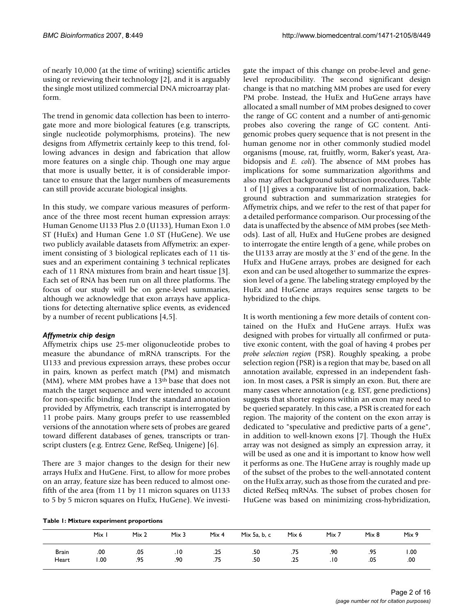of nearly 10,000 (at the time of writing) scientific articles using or reviewing their technology [2], and it is arguably the single most utilized commercial DNA microarray platform.

The trend in genomic data collection has been to interrogate more and more biological features (e.g. transcripts, single nucleotide polymorphisms, proteins). The new designs from Affymetrix certainly keep to this trend, following advances in design and fabrication that allow more features on a single chip. Though one may argue that more is usually better, it is of considerable importance to ensure that the larger numbers of measurements can still provide accurate biological insights.

In this study, we compare various measures of performance of the three most recent human expression arrays: Human Genome U133 Plus 2.0 (U133), Human Exon 1.0 ST (HuEx) and Human Gene 1.0 ST (HuGene). We use two publicly available datasets from Affymetrix: an experiment consisting of 3 biological replicates each of 11 tissues and an experiment containing 3 technical replicates each of 11 RNA mixtures from brain and heart tissue [3]. Each set of RNA has been run on all three platforms. The focus of our study will be on gene-level summaries, although we acknowledge that exon arrays have applications for detecting alternative splice events, as evidenced by a number of recent publications [4,5].

## *Affymetrix chip design*

Affymetrix chips use 25-mer oligonucleotide probes to measure the abundance of mRNA transcripts. For the U133 and previous expression arrays, these probes occur in pairs, known as perfect match (PM) and mismatch (MM), where MM probes have a 13<sup>th</sup> base that does not match the target sequence and were intended to account for non-specific binding. Under the standard annotation provided by Affymetrix, each transcript is interrogated by 11 probe pairs. Many groups prefer to use reassembled versions of the annotation where sets of probes are geared toward different databases of genes, transcripts or transcript clusters (e.g. Entrez Gene, RefSeq, Unigene) [6].

There are 3 major changes to the design for their new arrays HuEx and HuGene. First, to allow for more probes on an array, feature size has been reduced to almost onefifth of the area (from 11 by 11 micron squares on U133 to 5 by 5 micron squares on HuEx, HuGene). We investigate the impact of this change on probe-level and genelevel reproducibility. The second significant design change is that no matching MM probes are used for every PM probe. Instead, the HuEx and HuGene arrays have allocated a small number of MM probes designed to cover the range of GC content and a number of anti-genomic probes also covering the range of GC content. Antigenomic probes query sequence that is not present in the human genome nor in other commonly studied model organisms (mouse, rat, fruitfly, worm, Baker's yeast, Arabidopsis and *E. coli*). The absence of MM probes has implications for some summarization algorithms and also may affect background subtraction procedures. Table 1 of [1] gives a comparative list of normalization, background subtraction and summarization strategies for Affymetrix chips, and we refer to the rest of that paper for a detailed performance comparison. Our processing of the data is unaffected by the absence of MM probes (see Methods). Last of all, HuEx and HuGene probes are designed to interrogate the entire length of a gene, while probes on the U133 array are mostly at the 3' end of the gene. In the HuEx and HuGene arrays, probes are designed for each exon and can be used altogether to summarize the expression level of a gene. The labeling strategy employed by the HuEx and HuGene arrays requires sense targets to be hybridized to the chips.

It is worth mentioning a few more details of content contained on the HuEx and HuGene arrays. HuEx was designed with probes for virtually all confirmed or putative exonic content, with the goal of having 4 probes per *probe selection region* (PSR). Roughly speaking, a probe selection region (PSR) is a region that may be, based on all annotation available, expressed in an independent fashion. In most cases, a PSR is simply an exon. But, there are many cases where annotation (e.g. EST, gene predictions) suggests that shorter regions within an exon may need to be queried separately. In this case, a PSR is created for each region. The majority of the content on the exon array is dedicated to "speculative and predictive parts of a gene", in addition to well-known exons [7]. Though the HuEx array was not designed as simply an expression array, it will be used as one and it is important to know how well it performs as one. The HuGene array is roughly made up of the subset of the probes to the well-annotated content on the HuEx array, such as those from the curated and predicted RefSeq mRNAs. The subset of probes chosen for HuGene was based on minimizing cross-hybridization,

#### **Table 1: Mixture experiment proportions**

|              | Mix | Mix <sub>2</sub> | Mix <sub>3</sub> | Mix <sub>4</sub> | Mix 5a, b, c | Mix 6 | Mix 7 | Mix 8 | Mix 9 |
|--------------|-----|------------------|------------------|------------------|--------------|-------|-------|-------|-------|
| <b>Brain</b> | .00 | .05              | . 10             | .25              | .50          | د/.   | .90   | .95   | I.OO  |
| Heart        | .00 | .95              | .90              | .75              | .50          | .25   | 10.   | .05   | .00   |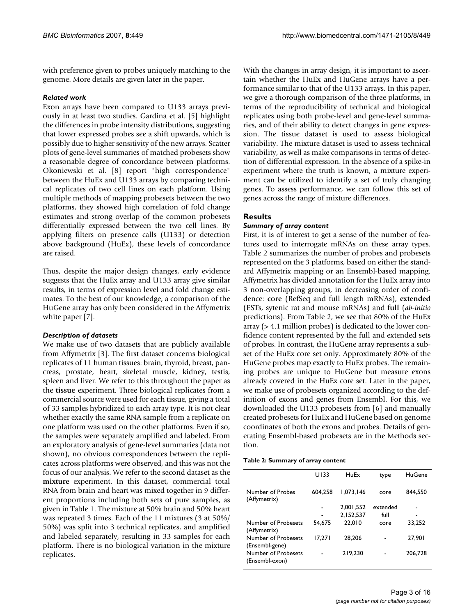with preference given to probes uniquely matching to the genome. More details are given later in the paper.

## *Related work*

Exon arrays have been compared to U133 arrays previously in at least two studies. Gardina et al. [5] highlight the differences in probe intensity distributions, suggesting that lower expressed probes see a shift upwards, which is possibly due to higher sensitivity of the new arrays. Scatter plots of gene-level summaries of matched probesets show a reasonable degree of concordance between platforms. Okoniewski et al. [8] report "high correspondence" between the HuEx and U133 arrays by comparing technical replicates of two cell lines on each platform. Using multiple methods of mapping probesets between the two platforms, they showed high correlation of fold change estimates and strong overlap of the common probesets differentially expressed between the two cell lines. By applying filters on presence calls (U133) or detection above background (HuEx), these levels of concordance are raised.

Thus, despite the major design changes, early evidence suggests that the HuEx array and U133 array give similar results, in terms of expression level and fold change estimates. To the best of our knowledge, a comparison of the HuGene array has only been considered in the Affymetrix white paper [7].

## *Description of datasets*

We make use of two datasets that are publicly available from Affymetrix [3]. The first dataset concerns biological replicates of 11 human tissues: brain, thyroid, breast, pancreas, prostate, heart, skeletal muscle, kidney, testis, spleen and liver. We refer to this throughout the paper as the **tissue** experiment. Three biological replicates from a commercial source were used for each tissue, giving a total of 33 samples hybridized to each array type. It is not clear whether exactly the same RNA sample from a replicate on one platform was used on the other platforms. Even if so, the samples were separately amplified and labeled. From an exploratory analysis of gene-level summaries (data not shown), no obvious correspondences between the replicates across platforms were observed, and this was not the focus of our analysis. We refer to the second dataset as the **mixture** experiment. In this dataset, commercial total RNA from brain and heart was mixed together in 9 different proportions including both sets of pure samples, as given in Table 1. The mixture at 50% brain and 50% heart was repeated 3 times. Each of the 11 mixtures (3 at 50%/ 50%) was split into 3 technical replicates, and amplified and labeled separately, resulting in 33 samples for each platform. There is no biological variation in the mixture replicates.

With the changes in array design, it is important to ascertain whether the HuEx and HuGene arrays have a performance similar to that of the U133 arrays. In this paper, we give a thorough comparison of the three platforms, in terms of the reproducibility of technical and biological replicates using both probe-level and gene-level summaries, and of their ability to detect changes in gene expression. The tissue dataset is used to assess biological variability. The mixture dataset is used to assess technical variability, as well as make comparisons in terms of detection of differential expression. In the absence of a spike-in experiment where the truth is known, a mixture experiment can be utilized to identify a set of truly changing genes. To assess performance, we can follow this set of genes across the range of mixture differences.

## **Results**

## *Summary of array content*

First, it is of interest to get a sense of the number of features used to interrogate mRNAs on these array types. Table 2 summarizes the number of probes and probesets represented on the 3 platforms, based on either the standard Affymetrix mapping or an Ensembl-based mapping. Affymetrix has divided annotation for the HuEx array into 3 non-overlapping groups, in decreasing order of confidence: **core** (RefSeq and full length mRNAs), **extended** (ESTs, sytenic rat and mouse mRNAs) and **full** (*ab-initio* predictions). From Table 2, we see that 80% of the HuEx array (*>* 4.1 million probes) is dedicated to the lower confidence content represented by the full and extended sets of probes. In contrast, the HuGene array represents a subset of the HuEx core set only. Approximately 80% of the HuGene probes map exactly to HuEx probes. The remaining probes are unique to HuGene but measure exons already covered in the HuEx core set. Later in the paper, we make use of probesets organized according to the definition of exons and genes from Ensembl. For this, we downloaded the U133 probesets from [6] and manually created probesets for HuEx and HuGene based on genome coordinates of both the exons and probes. Details of generating Ensembl-based probesets are in the Methods section.

#### **Table 2: Summary of array content**

|                                       | UI 33   | HuFx      | type     | HuGene  |
|---------------------------------------|---------|-----------|----------|---------|
| Number of Probes<br>(Affymetrix)      | 604.258 | 1.073.146 | core     | 844,550 |
|                                       | ٠       | 2,001,552 | extended |         |
|                                       |         | 2,152,537 | full     |         |
| Number of Probesets<br>(Affymetrix)   | 54,675  | 22,010    | core     | 33,252  |
| Number of Probesets<br>(Ensembl-gene) | 17.271  | 28,206    |          | 27,901  |
| Number of Probesets<br>(Ensembl-exon) |         | 219,230   |          | 206,728 |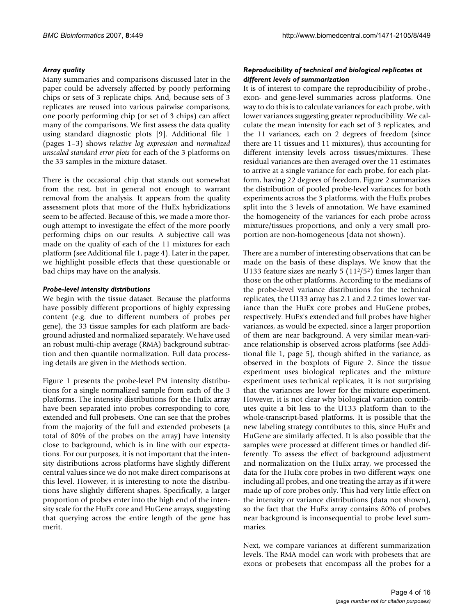## *Array quality*

Many summaries and comparisons discussed later in the paper could be adversely affected by poorly performing chips or sets of 3 replicate chips. And, because sets of 3 replicates are reused into various pairwise comparisons, one poorly performing chip (or set of 3 chips) can affect many of the comparisons. We first assess the data quality using standard diagnostic plots [9]. Additional file 1 (pages 1–3) shows *relative log expression* and *normalized unscaled standard error plots* for each of the 3 platforms on the 33 samples in the mixture dataset.

There is the occasional chip that stands out somewhat from the rest, but in general not enough to warrant removal from the analysis. It appears from the quality assessment plots that more of the HuEx hybridizations seem to be affected. Because of this, we made a more thorough attempt to investigate the effect of the more poorly performing chips on our results. A subjective call was made on the quality of each of the 11 mixtures for each platform (see Additional file 1, page 4). Later in the paper, we highlight possible effects that these questionable or bad chips may have on the analysis.

## *Probe-level intensity distributions*

We begin with the tissue dataset. Because the platforms have possibly different proportions of highly expressing content (e.g. due to different numbers of probes per gene), the 33 tissue samples for each platform are background adjusted and normalized separately. We have used an robust multi-chip average (RMA) background subtraction and then quantile normalization. Full data processing details are given in the Methods section.

Figure 1 presents the probe-level PM intensity distributions for a single normalized sample from each of the 3 platforms. The intensity distributions for the HuEx array have been separated into probes corresponding to core, extended and full probesets. One can see that the probes from the majority of the full and extended probesets (a total of 80% of the probes on the array) have intensity close to background, which is in line with our expectations. For our purposes, it is not important that the intensity distributions across platforms have slightly different central values since we do not make direct comparisons at this level. However, it is interesting to note the distributions have slightly different shapes. Specifically, a larger proportion of probes enter into the high end of the intensity scale for the HuEx core and HuGene arrays, suggesting that querying across the entire length of the gene has merit.

## *Reproducibility of technical and biological replicates at different levels of summarization*

It is of interest to compare the reproducibility of probe-, exon- and gene-level summaries across platforms. One way to do this is to calculate variances for each probe, with lower variances suggesting greater reproducibility. We calculate the mean intensity for each set of 3 replicates, and the 11 variances, each on 2 degrees of freedom (since there are 11 tissues and 11 mixtures), thus accounting for different intensity levels across tissues/mixtures. These residual variances are then averaged over the 11 estimates to arrive at a single variance for each probe, for each platform, having 22 degrees of freedom. Figure 2 summarizes the distribution of pooled probe-level variances for both experiments across the 3 platforms, with the HuEx probes split into the 3 levels of annotation. We have examined the homogeneity of the variances for each probe across mixture/tissues proportions, and only a very small proportion are non-homogeneous (data not shown).

There are a number of interesting observations that can be made on the basis of these displays. We know that the U133 feature sizes are nearly  $5(11^2/5^2)$  times larger than those on the other platforms. According to the medians of the probe-level variance distributions for the technical replicates, the U133 array has 2.1 and 2.2 times lower variance than the HuEx core probes and HuGene probes, respectively. HuEx's extended and full probes have higher variances, as would be expected, since a larger proportion of them are near background. A very similar mean-variance relationship is observed across platforms (see Additional file 1, page 5), though shifted in the variance, as observed in the boxplots of Figure 2. Since the tissue experiment uses biological replicates and the mixture experiment uses technical replicates, it is not surprising that the variances are lower for the mixture experiment. However, it is not clear why biological variation contributes quite a bit less to the U133 platform than to the whole-transcript-based platforms. It is possible that the new labeling strategy contributes to this, since HuEx and HuGene are similarly affected. It is also possible that the samples were processed at different times or handled differently. To assess the effect of background adjustment and normalization on the HuEx array, we processed the data for the HuEx core probes in two different ways: one including all probes, and one treating the array as if it were made up of core probes only. This had very little effect on the intensity or variance distributions (data not shown), so the fact that the HuEx array contains 80% of probes near background is inconsequential to probe level summaries.

Next, we compare variances at different summarization levels. The RMA model can work with probesets that are exons or probesets that encompass all the probes for a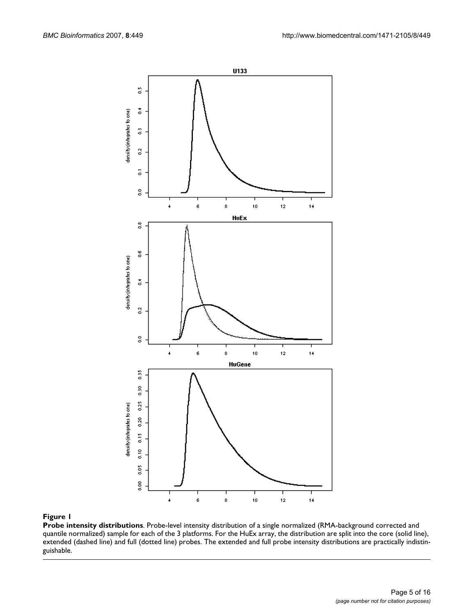

**Probe intensity distributions**. Probe-level intensity distribution of a single normalized (RMA-background corrected and quantile normalized) sample for each of the 3 platforms. For the HuEx array, the distribution are split into the core (solid line), extended (dashed line) and full (dotted line) probes. The extended and full probe intensity distributions are practically indistinguishable.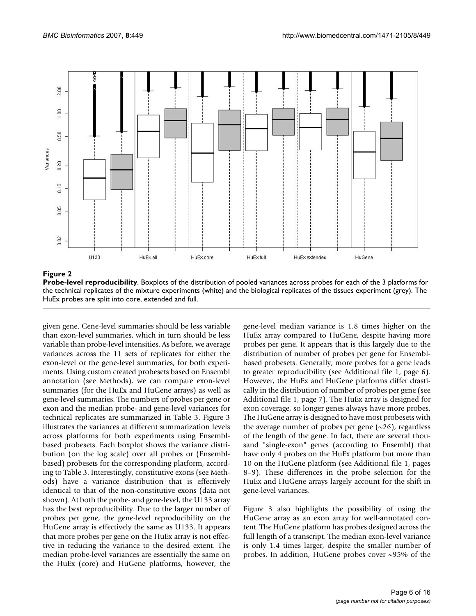

**Probe-level reproducibility**. Boxplots of the distribution of pooled variances across probes for each of the 3 platforms for the technical replicates of the mixture experiments (white) and the biological replicates of the tissues experiment (grey). The HuEx probes are split into core, extended and full.

given gene. Gene-level summaries should be less variable than exon-level summaries, which in turn should be less variable than probe-level intensities. As before, we average variances across the 11 sets of replicates for either the exon-level or the gene-level summaries, for both experiments. Using custom created probesets based on Ensembl annotation (see Methods), we can compare exon-level summaries (for the HuEx and HuGene arrays) as well as gene-level summaries. The numbers of probes per gene or exon and the median probe- and gene-level variances for technical replicates are summarized in Table 3. Figure 3 illustrates the variances at different summarization levels across platforms for both experiments using Ensemblbased probesets. Each boxplot shows the variance distribution (on the log scale) over all probes or (Ensemblbased) probesets for the corresponding platform, according to Table 3. Interestingly, constitutive exons (see Methods) have a variance distribution that is effectively identical to that of the non-constitutive exons (data not shown). At both the probe- and gene-level, the U133 array has the best reproducibility. Due to the larger number of probes per gene, the gene-level reproducibility on the HuGene array is effectively the same as U133. It appears that more probes per gene on the HuEx array is not effective in reducing the variance to the desired extent. The median probe-level variances are essentially the same on the HuEx (core) and HuGene platforms, however, the

gene-level median variance is 1.8 times higher on the HuEx array compared to HuGene, despite having more probes per gene. It appears that is this largely due to the distribution of number of probes per gene for Ensemblbased probesets. Generally, more probes for a gene leads to greater reproducibility (see Additional file 1, page 6). However, the HuEx and HuGene platforms differ drastically in the distribution of number of probes per gene (see Additional file 1, page 7). The HuEx array is designed for exon coverage, so longer genes always have more probes. The HuGene array is designed to have most probesets with the average number of probes per gene  $(\sim 26)$ , regardless of the length of the gene. In fact, there are several thousand "single-exon" genes (according to Ensembl) that have only 4 probes on the HuEx platform but more than 10 on the HuGene platform (see Additional file 1, pages 8–9). These differences in the probe selection for the HuEx and HuGene arrays largely account for the shift in gene-level variances.

Figure 3 also highlights the possibility of using the HuGene array as an exon array for well-annotated content. The HuGene platform has probes designed across the full length of a transcript. The median exon-level variance is only 1.4 times larger, despite the smaller number of probes. In addition, HuGene probes cover ~95% of the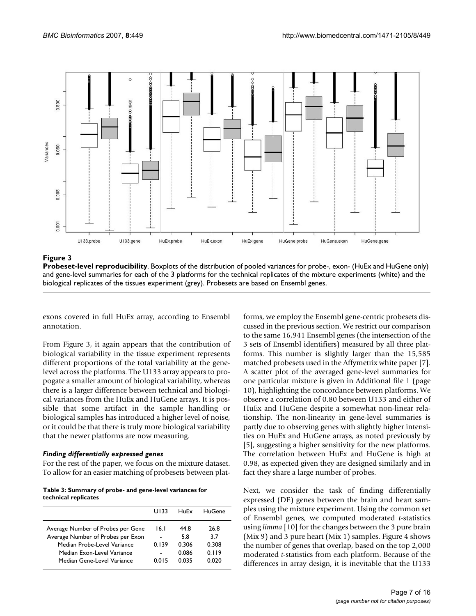

**Probeset-level reproducibility**. Boxplots of the distribution of pooled variances for probe-, exon- (HuEx and HuGene only) and gene-level summaries for each of the 3 platforms for the technical replicates of the mixture experiments (white) and the biological replicates of the tissues experiment (grey). Probesets are based on Ensembl genes.

exons covered in full HuEx array, according to Ensembl annotation.

From Figure 3, it again appears that the contribution of biological variability in the tissue experiment represents different proportions of the total variability at the genelevel across the platforms. The U133 array appears to propogate a smaller amount of biological variability, whereas there is a larger difference between technical and biological variances from the HuEx and HuGene arrays. It is possible that some artifact in the sample handling or biological samples has introduced a higher level of noise, or it could be that there is truly more biological variability that the newer platforms are now measuring.

## *Finding differentially expressed genes*

For the rest of the paper, we focus on the mixture dataset. To allow for an easier matching of probesets between plat-

**Table 3: Summary of probe- and gene-level variances for technical replicates**

|                                   | UI 33 | HuFx  | HuGene |
|-----------------------------------|-------|-------|--------|
| Average Number of Probes per Gene | 16. I | 44.8  | 26.8   |
| Average Number of Probes per Exon | ٠     | 5.8   | 3.7    |
| Median Probe-Level Variance       | 0.139 | 0.306 | 0.308  |
| Median Exon-Level Variance        | 0015  | 0.086 | 0.119  |
| Median Gene-Level Variance        |       | 0.035 | 0.020  |

forms, we employ the Ensembl gene-centric probesets discussed in the previous section. We restrict our comparison to the same 16,941 Ensembl genes (the intersection of the 3 sets of Ensembl identifiers) measured by all three platforms. This number is slightly larger than the 15,585 matched probesets used in the Affymetrix white paper [7]. A scatter plot of the averaged gene-level summaries for one particular mixture is given in Additional file 1 (page 10), highlighting the concordance between platforms. We observe a correlation of 0.80 between U133 and either of HuEx and HuGene despite a somewhat non-linear relationship. The non-linearity in gene-level summaries is partly due to observing genes with slightly higher intensities on HuEx and HuGene arrays, as noted previously by [5], suggesting a higher sensitivity for the new platforms. The correlation between HuEx and HuGene is high at 0.98, as expected given they are designed similarly and in fact they share a large number of probes.

Next, we consider the task of finding differentially expressed (DE) genes between the brain and heart samples using the mixture experiment. Using the common set of Ensembl genes, we computed moderated *t*-statistics using *limma* [10] for the changes between the 3 pure brain (Mix 9) and 3 pure heart (Mix 1) samples. Figure 4 shows the number of genes that overlap, based on the top 2,000 moderated *t*-statistics from each platform. Because of the differences in array design, it is inevitable that the U133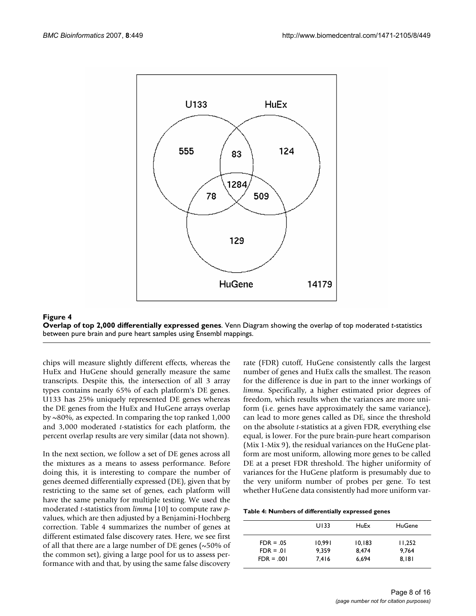

## Figure 4 **Overlap of top 2,000 differentially expressed genes**. Venn Diagram showing the overlap of top moderated *t*-statistics between pure brain and pure heart samples using Ensembl mappings.

chips will measure slightly different effects, whereas the HuEx and HuGene should generally measure the same transcripts. Despite this, the intersection of all 3 array types contains nearly 65% of each platform's DE genes. U133 has 25% uniquely represented DE genes whereas the DE genes from the HuEx and HuGene arrays overlap by ~80%, as expected. In comparing the top ranked 1,000 and 3,000 moderated *t*-statistics for each platform, the percent overlap results are very similar (data not shown).

In the next section, we follow a set of DE genes across all the mixtures as a means to assess performance. Before doing this, it is interesting to compare the number of genes deemed differentially expressed (DE), given that by restricting to the same set of genes, each platform will have the same penalty for multiple testing. We used the moderated *t*-statistics from *limma* [10] to compute raw *p*values, which are then adjusted by a Benjamini-Hochberg correction. Table 4 summarizes the number of genes at different estimated false discovery rates. Here, we see first of all that there are a large number of DE genes ( $\sim$ 50% of the common set), giving a large pool for us to assess performance with and that, by using the same false discovery

rate (FDR) cutoff, HuGene consistently calls the largest number of genes and HuEx calls the smallest. The reason for the difference is due in part to the inner workings of *limma*. Specifically, a higher estimated prior degrees of freedom, which results when the variances are more uniform (i.e. genes have approximately the same variance), can lead to more genes called as DE, since the threshold on the absolute *t*-statistics at a given FDR, everything else equal, is lower. For the pure brain-pure heart comparison (Mix 1-Mix 9), the residual variances on the HuGene platform are most uniform, allowing more genes to be called DE at a preset FDR threshold. The higher uniformity of variances for the HuGene platform is presumably due to the very uniform number of probes per gene. To test whether HuGene data consistently had more uniform var-

| Table 4: Numbers of differentially expressed genes |  |
|----------------------------------------------------|--|
|----------------------------------------------------|--|

|              | U133   | <b>HuEx</b> | HuGene |
|--------------|--------|-------------|--------|
| $FDR = .05$  | 10.991 | 10.183      | 11.252 |
| $FDR = .01$  | 9.359  | 8.474       | 9.764  |
| $FDR = .001$ | 7.416  | 6.694       | 8.181  |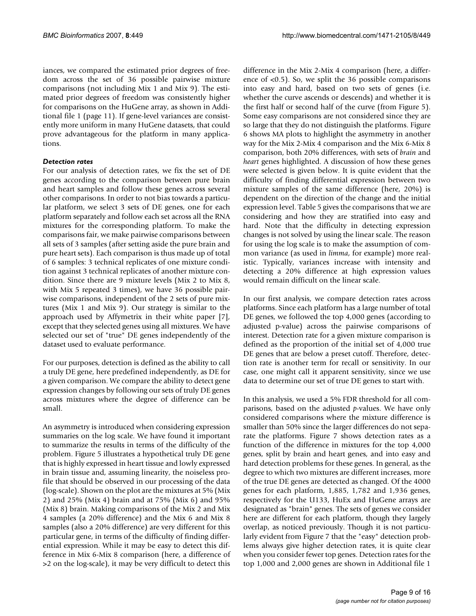iances, we compared the estimated prior degrees of freedom across the set of 36 possible pairwise mixture comparisons (not including Mix 1 and Mix 9). The estimated prior degrees of freedom was consistently higher for comparisons on the HuGene array, as shown in Additional file 1 (page 11). If gene-level variances are consistently more uniform in many HuGene datasets, that could prove advantageous for the platform in many applications.

## *Detection rates*

For our analysis of detection rates, we fix the set of DE genes according to the comparison between pure brain and heart samples and follow these genes across several other comparisons. In order to not bias towards a particular platform, we select 3 sets of DE genes, one for each platform separately and follow each set across all the RNA mixtures for the corresponding platform. To make the comparisons fair, we make pairwise comparisons between all sets of 3 samples (after setting aside the pure brain and pure heart sets). Each comparison is thus made up of total of 6 samples: 3 technical replicates of one mixture condition against 3 technical replicates of another mixture condition. Since there are 9 mixture levels (Mix 2 to Mix 8, with Mix 5 repeated 3 times), we have 36 possible pairwise comparisons, independent of the 2 sets of pure mixtures (Mix 1 and Mix 9). Our strategy is similar to the approach used by Affymetrix in their white paper [7], except that they selected genes using all mixtures. We have selected our set of "true" DE genes independently of the dataset used to evaluate performance.

For our purposes, detection is defined as the ability to call a truly DE gene, here predefined independently, as DE for a given comparison. We compare the ability to detect gene expression changes by following our sets of truly DE genes across mixtures where the degree of difference can be small.

An asymmetry is introduced when considering expression summaries on the log scale. We have found it important to summarize the results in terms of the difficulty of the problem. Figure 5 illustrates a hypothetical truly DE gene that is highly expressed in heart tissue and lowly expressed in brain tissue and, assuming linearity, the noiseless profile that should be observed in our processing of the data (log-scale). Shown on the plot are the mixtures at 5% (Mix 2) and 25% (Mix 4) brain and at 75% (Mix 6) and 95% (Mix 8) brain. Making comparisons of the Mix 2 and Mix 4 samples (a 20% difference) and the Mix 6 and Mix 8 samples (also a 20% difference) are very different for this particular gene, in terms of the difficulty of finding differential expression. While it may be easy to detect this difference in Mix 6-Mix 8 comparison (here, a difference of *>*2 on the log-scale), it may be very difficult to detect this difference in the Mix 2-Mix 4 comparison (here, a difference of *<*0.5). So, we split the 36 possible comparisons into easy and hard, based on two sets of genes (i.e. whether the curve ascends or descends) and whether it is the first half or second half of the curve (from Figure 5). Some easy comparisons are not considered since they are so large that they do not distinguish the platforms. Figure 6 shows MA plots to highlight the asymmetry in another way for the Mix 2-Mix 4 comparison and the Mix 6-Mix 8 comparison, both 20% differences, with sets of *brain* and *heart* genes highlighted. A discussion of how these genes were selected is given below. It is quite evident that the difficulty of finding differential expression between two mixture samples of the same difference (here, 20%) is dependent on the direction of the change and the initial expression level. Table 5 gives the comparisons that we are considering and how they are stratified into easy and hard. Note that the difficulty in detecting expression changes is not solved by using the linear scale. The reason for using the log scale is to make the assumption of common variance (as used in *limma*, for example) more realistic. Typically, variances increase with intensity and detecting a 20% difference at high expression values would remain difficult on the linear scale.

In our first analysis, we compare detection rates across platforms. Since each platform has a large number of total DE genes, we followed the top 4,000 genes (according to adjusted p-value) across the pairwise comparisons of interest. Detection rate for a given mixture comparison is defined as the proportion of the initial set of 4,000 true DE genes that are below a preset cutoff. Therefore, detection rate is another term for recall or sensitivity. In our case, one might call it apparent sensitivity, since we use data to determine our set of true DE genes to start with.

In this analysis, we used a 5% FDR threshold for all comparisons, based on the adjusted *p*-values. We have only considered comparisons where the mixture difference is smaller than 50% since the larger differences do not separate the platforms. Figure 7 shows detection rates as a function of the difference in mixtures for the top 4,000 genes, split by brain and heart genes, and into easy and hard detection problems for these genes. In general, as the degree to which two mixtures are different increases, more of the true DE genes are detected as changed. Of the 4000 genes for each platform, 1,885, 1,782 and 1,936 genes, respectively for the U133, HuEx and HuGene arrays are designated as "brain" genes. The sets of genes we consider here are different for each platform, though they largely overlap, as noticed previously. Though it is not particularly evident from Figure 7 that the "easy" detection problems always give higher detection rates, it is quite clear when you consider fewer top genes. Detection rates for the top 1,000 and 2,000 genes are shown in Additional file 1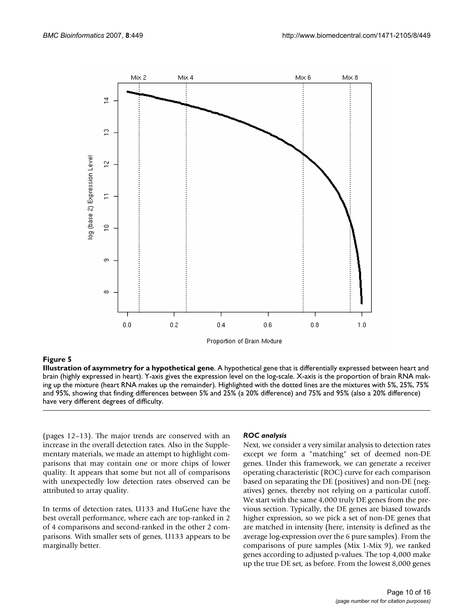

**Illustration of asymmetry for a hypothetical gene**. A hypothetical gene that is differentially expressed between heart and brain (highly expressed in heart). Y-axis gives the expression level on the log-scale. X-axis is the proportion of brain RNA making up the mixture (heart RNA makes up the remainder). Highlighted with the dotted lines are the mixtures with 5%, 25%, 75% and 95%, showing that finding differences between 5% and 25% (a 20% difference) and 75% and 95% (also a 20% difference) have very different degrees of difficulty.

(pages 12–13). The major trends are conserved with an increase in the overall detection rates. Also in the Supplementary materials, we made an attempt to highlight comparisons that may contain one or more chips of lower quality. It appears that some but not all of comparisons with unexpectedly low detection rates observed can be attributed to array quality.

In terms of detection rates, U133 and HuGene have the best overall performance, where each are top-ranked in 2 of 4 comparisons and second-ranked in the other 2 comparisons. With smaller sets of genes, U133 appears to be marginally better.

## *ROC analysis*

Next, we consider a very similar analysis to detection rates except we form a "matching" set of deemed non-DE genes. Under this framework, we can generate a receiver operating characteristic (ROC) curve for each comparison based on separating the DE (positives) and non-DE (negatives) genes, thereby not relying on a particular cutoff. We start with the same 4,000 truly DE genes from the previous section. Typically, the DE genes are biased towards higher expression, so we pick a set of non-DE genes that are matched in intensity (here, intensity is defined as the average log-expression over the 6 pure samples). From the comparisons of pure samples (Mix 1-Mix 9), we ranked genes according to adjusted p-values. The top 4,000 make up the true DE set, as before. From the lowest 8,000 genes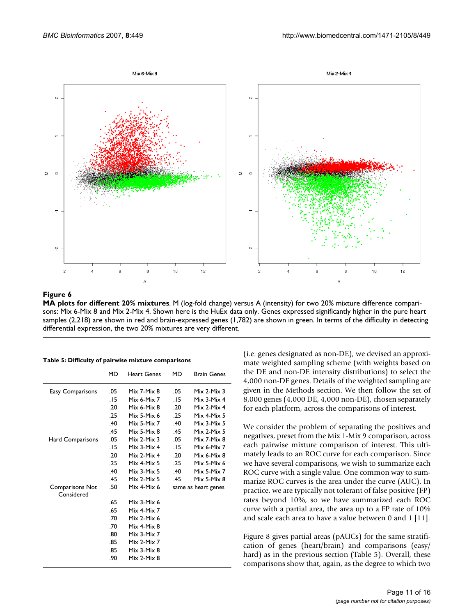

**MA plots for different 20% mixtures**. M (log-fold change) versus A (intensity) for two 20% mixture difference comparisons: Mix 6-Mix 8 and Mix 2-Mix 4. Shown here is the HuEx data only. Genes expressed significantly higher in the pure heart samples (2,218) are shown in red and brain-expressed genes (1,782) are shown in green. In terms of the difficulty in detecting differential expression, the two 20% mixtures are very different.

|  |  |  |  |  |  | Table 5: Difficulty of pairwise mixture comparisons |
|--|--|--|--|--|--|-----------------------------------------------------|
|--|--|--|--|--|--|-----------------------------------------------------|

|                               | MD    | <b>Heart Genes</b> | MD                  | <b>Brain Genes</b> |
|-------------------------------|-------|--------------------|---------------------|--------------------|
| <b>Easy Comparisons</b>       | .05   | Mix 7-Mix 8        | .05                 | Mix $2$ -Mix $3$   |
|                               | . I 5 | Mix 6-Mix 7        | . I 5               | Mix 3-Mix 4        |
|                               | .20   | Mix 6-Mix 8        | .20                 | Mix 2-Mix 4        |
|                               | .25   | Mix 5-Mix 6        | .25                 | Mix 4-Mix 5        |
|                               | .40   | Mix 5-Mix 7        | .40                 | Mix 3-Mix 5        |
|                               | .45   | $Mix 5-Mix 8$      | .45                 | Mix 2-Mix 5        |
| Hard Comparisons              | .05   | Mix $2$ -Mix $3$   | .05                 | Mix 7-Mix 8        |
|                               | . I 5 | Mix 3-Mix 4        | . 15                | Mix 6-Mix 7        |
|                               | .20   | $Mix 2$ -Mix 4     | -20                 | Mix 6-Mix 8        |
|                               | .25   | Mix 4-Mix 5        | .25                 | Mix 5-Mix 6        |
|                               | .40   | Mix $3-Mix$ 5      | .40                 | Mix 5-Mix 7        |
|                               | .45   | $Mix 2$ -Mix 5     | .45                 | Mix 5-Mix 8        |
| Comparisons Not<br>Considered | .50   | Mix 4-Mix 6        | same as heart genes |                    |
|                               | .65   | $Mix$ 3-Mix 6      |                     |                    |
|                               | .65   | Mix 4-Mix 7        |                     |                    |
|                               | .70   | $Mix 2$ -Mix 6     |                     |                    |
|                               | .70   | Mix 4-Mix 8        |                     |                    |
|                               | .80   | Mix 3-Mix 7        |                     |                    |
|                               | .85   | Mix 2-Mix 7        |                     |                    |
|                               | .85   | $Mix$ 3-Mix $8$    |                     |                    |
|                               | .90   | Mix 2-Mix 8        |                     |                    |

(i.e. genes designated as non-DE), we devised an approximate weighted sampling scheme (with weights based on the DE and non-DE intensity distributions) to select the 4,000 non-DE genes. Details of the weighted sampling are given in the Methods section. We then follow the set of 8,000 genes (4,000 DE, 4,000 non-DE), chosen separately for each platform, across the comparisons of interest.

We consider the problem of separating the positives and negatives, preset from the Mix 1-Mix 9 comparison, across each pairwise mixture comparison of interest. This ultimately leads to an ROC curve for each comparison. Since we have several comparisons, we wish to summarize each ROC curve with a single value. One common way to summarize ROC curves is the area under the curve (AUC). In practice, we are typically not tolerant of false positive (FP) rates beyond 10%, so we have summarized each ROC curve with a partial area, the area up to a FP rate of 10% and scale each area to have a value between 0 and 1 [11].

Figure 8 gives partial areas (pAUCs) for the same stratification of genes (heart/brain) and comparisons (easy/ hard) as in the previous section (Table 5). Overall, these comparisons show that, again, as the degree to which two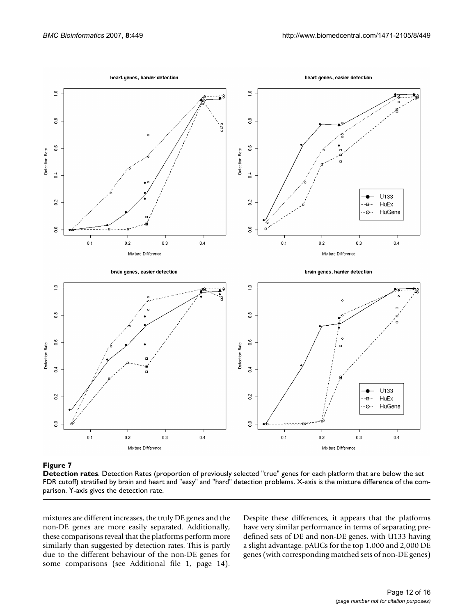

**Detection rates**. Detection Rates (proportion of previously selected "true" genes for each platform that are below the set FDR cutoff) stratified by brain and heart and "easy" and "hard" detection problems. X-axis is the mixture difference of the comparison. Y-axis gives the detection rate.

mixtures are different increases, the truly DE genes and the non-DE genes are more easily separated. Additionally, these comparisons reveal that the platforms perform more similarly than suggested by detection rates. This is partly due to the different behaviour of the non-DE genes for some comparisons (see Additional file 1, page 14).

Despite these differences, it appears that the platforms have very similar performance in terms of separating predefined sets of DE and non-DE genes, with U133 having a slight advantage. pAUCs for the top 1,000 and 2,000 DE genes (with corresponding matched sets of non-DE genes)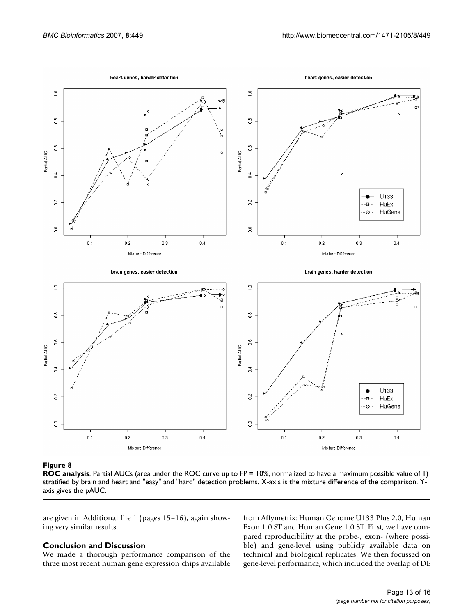

**ROC analysis**. Partial AUCs (area under the ROC curve up to FP = 10%, normalized to have a maximum possible value of 1) stratified by brain and heart and "easy" and "hard" detection problems. X-axis is the mixture difference of the comparison. Yaxis gives the pAUC.

are given in Additional file 1 (pages 15–16), again showing very similar results.

## **Conclusion and Discussion**

We made a thorough performance comparison of the three most recent human gene expression chips available from Affymetrix: Human Genome U133 Plus 2.0, Human Exon 1.0 ST and Human Gene 1.0 ST. First, we have compared reproducibility at the probe-, exon- (where possible) and gene-level using publicly available data on technical and biological replicates. We then focussed on gene-level performance, which included the overlap of DE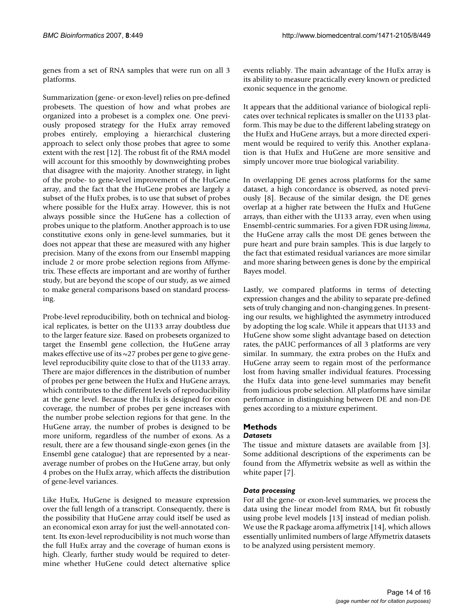genes from a set of RNA samples that were run on all 3 platforms.

Summarization (gene- or exon-level) relies on pre-defined probesets. The question of how and what probes are organized into a probeset is a complex one. One previously proposed strategy for the HuEx array removed probes entirely, employing a hierarchical clustering approach to select only those probes that agree to some extent with the rest [12]. The robust fit of the RMA model will account for this smoothly by downweighting probes that disagree with the majority. Another strategy, in light of the probe- to gene-level improvement of the HuGene array, and the fact that the HuGene probes are largely a subset of the HuEx probes, is to use that subset of probes where possible for the HuEx array. However, this is not always possible since the HuGene has a collection of probes unique to the platform. Another approach is to use constitutive exons only in gene-level summaries, but it does not appear that these are measured with any higher precision. Many of the exons from our Ensembl mapping include 2 or more probe selection regions from Affymetrix. These effects are important and are worthy of further study, but are beyond the scope of our study, as we aimed to make general comparisons based on standard processing.

Probe-level reproducibility, both on technical and biological replicates, is better on the U133 array doubtless due to the larger feature size. Based on probesets organized to target the Ensembl gene collection, the HuGene array makes effective use of its  $\sim$  27 probes per gene to give genelevel reproducibility quite close to that of the U133 array. There are major differences in the distribution of number of probes per gene between the HuEx and HuGene arrays, which contributes to the different levels of reproducibility at the gene level. Because the HuEx is designed for exon coverage, the number of probes per gene increases with the number probe selection regions for that gene. In the HuGene array, the number of probes is designed to be more uniform, regardless of the number of exons. As a result, there are a few thousand single-exon genes (in the Ensembl gene catalogue) that are represented by a nearaverage number of probes on the HuGene array, but only 4 probes on the HuEx array, which affects the distribution of gene-level variances.

Like HuEx, HuGene is designed to measure expression over the full length of a transcript. Consequently, there is the possibility that HuGene array could itself be used as an economical exon array for just the well-annotated content. Its exon-level reproducibility is not much worse than the full HuEx array and the coverage of human exons is high. Clearly, further study would be required to determine whether HuGene could detect alternative splice events reliably. The main advantage of the HuEx array is its ability to measure practically every known or predicted exonic sequence in the genome.

It appears that the additional variance of biological replicates over technical replicates is smaller on the U133 platform. This may be due to the different labeling strategy on the HuEx and HuGene arrays, but a more directed experiment would be required to verify this. Another explanation is that HuEx and HuGene are more sensitive and simply uncover more true biological variability.

In overlapping DE genes across platforms for the same dataset, a high concordance is observed, as noted previously [8]. Because of the similar design, the DE genes overlap at a higher rate between the HuEx and HuGene arrays, than either with the U133 array, even when using Ensembl-centric summaries. For a given FDR using *limma*, the HuGene array calls the most DE genes between the pure heart and pure brain samples. This is due largely to the fact that estimated residual variances are more similar and more sharing between genes is done by the empirical Bayes model.

Lastly, we compared platforms in terms of detecting expression changes and the ability to separate pre-defined sets of truly changing and non-changing genes. In presenting our results, we highlighted the asymmetry introduced by adopting the log scale. While it appears that U133 and HuGene show some slight advantage based on detection rates, the pAUC performances of all 3 platforms are very similar. In summary, the extra probes on the HuEx and HuGene array seem to regain most of the performance lost from having smaller individual features. Processing the HuEx data into gene-level summaries may benefit from judicious probe selection. All platforms have similar performance in distinguishing between DE and non-DE genes according to a mixture experiment.

## **Methods**

## *Datasets*

The tissue and mixture datasets are available from [3]. Some additional descriptions of the experiments can be found from the Affymetrix website as well as within the white paper [7].

## *Data processing*

For all the gene- or exon-level summaries, we process the data using the linear model from RMA, but fit robustly using probe level models [13] instead of median polish. We use the R package aroma.affymetrix [14], which allows essentially unlimited numbers of large Affymetrix datasets to be analyzed using persistent memory.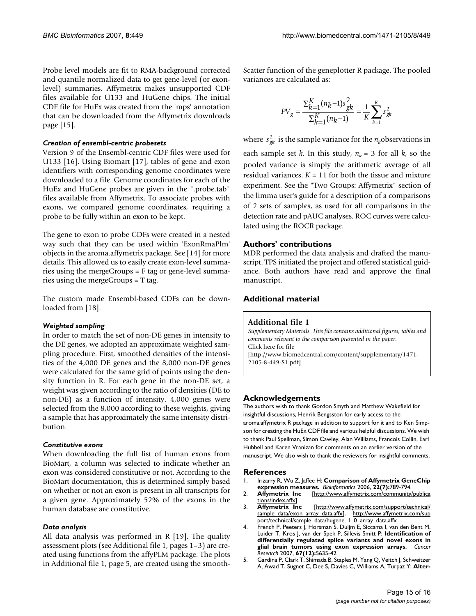Probe level models are fit to RMA-background corrected and quantile normalized data to get gene-level (or exonlevel) summaries. Affymetrix makes unsupported CDF files available for U133 and HuGene chips. The initial CDF file for HuEx was created from the 'mps' annotation that can be downloaded from the Affymetrix downloads page [15].

## *Creation of ensembl-centric probesets*

Version 9 of the Ensembl-centric CDF files were used for U133 [16]. Using Biomart [17], tables of gene and exon identifiers with corresponding genome coordinates were downloaded to a file. Genome coordinates for each of the HuEx and HuGene probes are given in the ".probe.tab" files available from Affymetrix. To associate probes with exons, we compared genome coordinates, requiring a probe to be fully within an exon to be kept.

The gene to exon to probe CDFs were created in a nested way such that they can be used within 'ExonRmaPlm' objects in the aroma.affymetrix package. See [14] for more details. This allowed us to easily create exon-level summaries using the mergeGroups = F tag or gene-level summaries using the mergeGroups = T tag.

The custom made Ensembl-based CDFs can be downloaded from [18].

## *Weighted sampling*

In order to match the set of non-DE genes in intensity to the DE genes, we adopted an approximate weighted sampling procedure. First, smoothed densities of the intensities of the 4,000 DE genes and the 8,000 non-DE genes were calculated for the same grid of points using the density function in R. For each gene in the non-DE set, a weight was given according to the ratio of densities (DE to non-DE) as a function of intensity. 4,000 genes were selected from the 8,000 according to these weights, giving a sample that has approximately the same intensity distribution.

## *Constitutive exons*

When downloading the full list of human exons from BioMart, a column was selected to indicate whether an exon was considered constitutive or not. According to the BioMart documentation, this is determined simply based on whether or not an exon is present in all transcripts for a given gene. Approximately 52% of the exons in the human database are constitutive.

## *Data analysis*

All data analysis was performed in R [19]. The quality assessment plots (see Additional file 1, pages 1–3) are created using functions from the affyPLM package. The plots in Additional file 1, page 5, are created using the smoothScatter function of the geneplotter R package. The pooled variances are calculated as:

$$
PV_g = \frac{\sum_{k=1}^{K} (n_k - 1)s_{gk}^2}{\sum_{k=1}^{K} (n_k - 1)} = \frac{1}{K} \sum_{k=1}^{K} s_{gk}^2
$$

where  $s_{gk}^2$  is the sample variance for the  $n_k$ observations in each sample set *k*. In this study,  $n_k = 3$  for all *k*, so the pooled variance is simply the arithmetic average of all residual variances.  $K = 11$  for both the tissue and mixture experiment. See the "Two Groups: Affymetrix" section of the limma user's guide for a description of a comparisons of 2 sets of samples, as used for all comparisons in the detection rate and pAUC analyses. ROC curves were calculated using the ROCR package.

## **Authors' contributions**

MDR performed the data analysis and drafted the manuscript. TPS initiated the project and offered statistical guidance. Both authors have read and approve the final manuscript.

## **Additional material**

## **Additional file 1**

*Supplementary Materials. This file contains additional figures, tables and comments relevant to the comparison presented in the paper.* Click here for file [\[http://www.biomedcentral.com/content/supplementary/1471-](http://www.biomedcentral.com/content/supplementary/1471-2105-8-449-S1.pdf) 2105-8-449-S1.pdf]

## **Acknowledgements**

The authors wish to thank Gordon Smyth and Matthew Wakefield for insightful discussions, Henrik Bengsston for early access to the aroma.affymetrix R package in addition to support for it and to Ken Simpson for creating the HuEx CDF file and various helpful discussions. We wish to thank Paul Spellman, Simon Cawley, Alan Williams, Francois Collin, Earl Hubbell and Karen Vranizan for comments on an earlier version of the manuscript. We also wish to thank the reviewers for insightful comments.

## **References**

- 1. Irizarry R, Wu Z, Jaffee H: **[Comparison of Affymetrix GeneChip](http://www.ncbi.nlm.nih.gov/entrez/query.fcgi?cmd=Retrieve&db=PubMed&dopt=Abstract&list_uids=16410320) [expression measures.](http://www.ncbi.nlm.nih.gov/entrez/query.fcgi?cmd=Retrieve&db=PubMed&dopt=Abstract&list_uids=16410320)** *Bioinformatics* 2006, **22(7):**789-794.
- 2. **Affymetrix Inc** [\[http://www.affymetrix.com/community/publica](http://www.affymetrix.com/community/publications/index.affx) [tions/index.affx](http://www.affymetrix.com/community/publications/index.affx)]<br>**Affymetrix** Inc
- 3. **Affymetrix Inc** [[http://www.affymetrix.com/support/technical/](http://www.affymetrix.com/support/technical/sample_data/exon_array_data.affx) <u>[sample\\_data/exon\\_array\\_data.affx\]](http://www.affymetrix.com/support/technical/sample_data/exon_array_data.affx). [http://www.affymetrix.com/sup](http://www.affymetrix.com/support/technical/sample_data/hugene_1_0_array_data.affx)</u> [port/technical/sample\\_data/hugene\\_1\\_0\\_array\\_data.affx](http://www.affymetrix.com/support/technical/sample_data/hugene_1_0_array_data.affx)
- 4. French P, Peeters J, Horsman S, Duijm E, Siccama I, van den Bent M, Luider T, Kros J, van der Spek P, Sillevis Smitt P: **[Identification of](http://www.ncbi.nlm.nih.gov/entrez/query.fcgi?cmd=Retrieve&db=PubMed&dopt=Abstract&list_uids=17575129) [differentially regulated splice variants and novel exons in](http://www.ncbi.nlm.nih.gov/entrez/query.fcgi?cmd=Retrieve&db=PubMed&dopt=Abstract&list_uids=17575129) [glial brain tumors using exon expression arrays.](http://www.ncbi.nlm.nih.gov/entrez/query.fcgi?cmd=Retrieve&db=PubMed&dopt=Abstract&list_uids=17575129)** *Cancer Research* 2007, **67(12):**5635-42.
- 5. Gardina P, Clark T, Shimada B, Staples M, Yang Q, Veitch J, Schweitzer A, Awad T, Sugnet C, Dee S, Davies C, Williams A, Turpaz Y: **[Alter](http://www.ncbi.nlm.nih.gov/entrez/query.fcgi?cmd=Retrieve&db=PubMed&dopt=Abstract&list_uids=17192196)-**